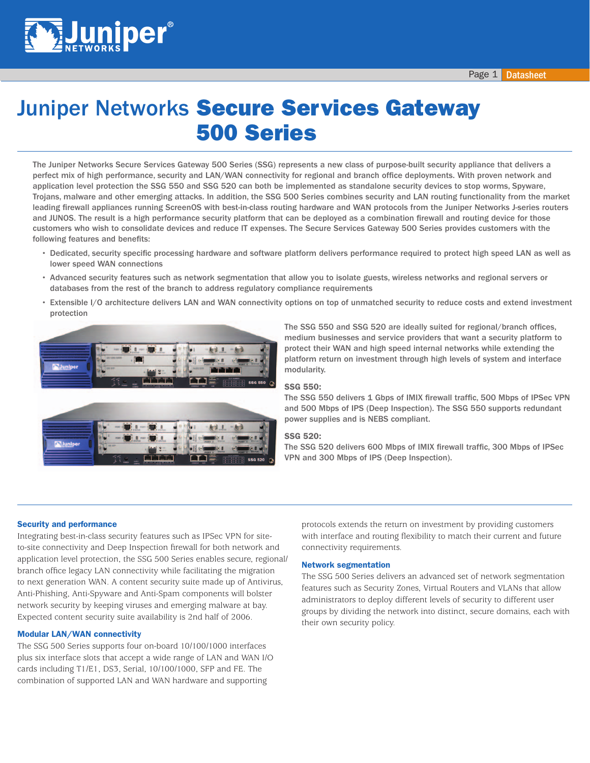

# **Juniper Networks Secure Services Gateway** 500 Series

The Juniper Networks Secure Services Gateway 500 Series (SSG) represents a new class of purpose-built security appliance that delivers a perfect mix of high performance, security and LAN/WAN connectivity for regional and branch office deployments. With proven network and application level protection the SSG 550 and SSG 520 can both be implemented as standalone security devices to stop worms, Spyware, Trojans, malware and other emerging attacks. In addition, the SSG 500 Series combines security and LAN routing functionality from the market leading firewall appliances running ScreenOS with best-in-class routing hardware and WAN protocols from the Juniper Networks J-series routers and JUNOS. The result is a high performance security platform that can be deployed as a combination firewall and routing device for those customers who wish to consolidate devices and reduce IT expenses. The Secure Services Gateway 500 Series provides customers with the following features and benefits:

- Dedicated, security specific processing hardware and software platform delivers performance required to protect high speed LAN as well as lower speed WAN connections
- Advanced security features such as network segmentation that allow you to isolate guests, wireless networks and regional servers or databases from the rest of the branch to address regulatory compliance requirements
- Extensible I/O architecture delivers LAN and WAN connectivity options on top of unmatched security to reduce costs and extend investment protection



The SSG 550 and SSG 520 are ideally suited for regional/branch offices, medium businesses and service providers that want a security platform to protect their WAN and high speed internal networks while extending the platform return on investment through high levels of system and interface modularity.

#### SSG 550:

The SSG 550 delivers 1 Gbps of IMIX firewall traffic, 500 Mbps of IPSec VPN and 500 Mbps of IPS (Deep Inspection). The SSG 550 supports redundant power supplies and is NEBS compliant.

#### SSG 520:

The SSG 520 delivers 600 Mbps of IMIX firewall traffic, 300 Mbps of IPSec VPN and 300 Mbps of IPS (Deep Inspection).

#### Security and performance

Integrating best-in-class security features such as IPSec VPN for siteto-site connectivity and Deep Inspection firewall for both network and application level protection, the SSG 500 Series enables secure, regional/ branch office legacy LAN connectivity while facilitating the migration to next generation WAN. A content security suite made up of Antivirus, Anti-Phishing, Anti-Spyware and Anti-Spam components will bolster network security by keeping viruses and emerging malware at bay. Expected content security suite availability is 2nd half of 2006.

#### Modular LAN/WAN connectivity

The SSG 500 Series supports four on-board 10/100/1000 interfaces plus six interface slots that accept a wide range of LAN and WAN I/O cards including T1/E1, DS3, Serial, 10/100/1000, SFP and FE. The combination of supported LAN and WAN hardware and supporting

protocols extends the return on investment by providing customers with interface and routing flexibility to match their current and future connectivity requirements.

#### Network segmentation

The SSG 500 Series delivers an advanced set of network segmentation features such as Security Zones, Virtual Routers and VLANs that allow administrators to deploy different levels of security to different user groups by dividing the network into distinct, secure domains, each with their own security policy.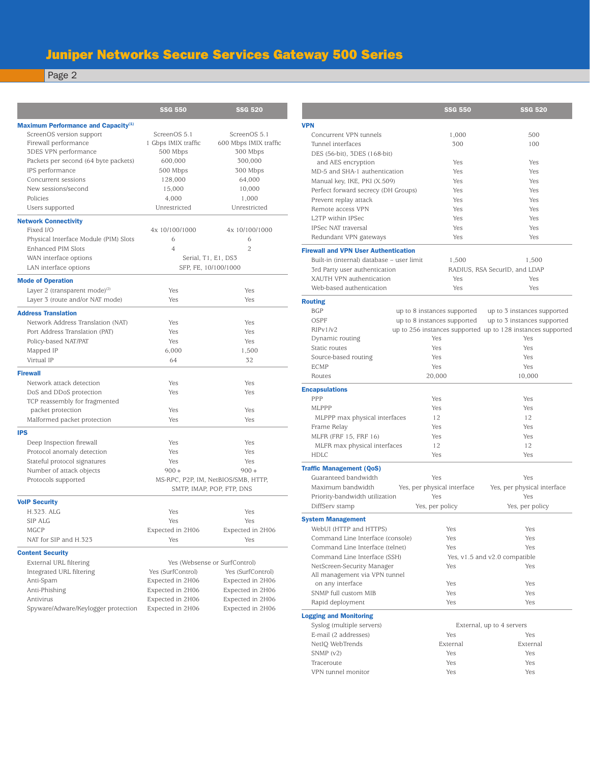## Juniper Networks Secure Services Gateway 500 Series

Page 2

<u> 1989 - Johann Stoff, deutscher Stoffen und der Stoffen und der Stoffen und der Stoffen und der Stoffen und der</u>

|                                                 | <b>SSG 550</b>                      | <b>SSG 520</b>        |
|-------------------------------------------------|-------------------------------------|-----------------------|
| Maximum Performance and Capacity <sup>(1)</sup> |                                     |                       |
| ScreenOS version support                        | ScreenOS 5.1                        | ScreenOS 5.1          |
| Firewall performance                            | 1 Gbps IMIX traffic                 | 600 Mbps IMIX traffic |
| 3DES VPN performance                            | 500 Mbps                            | 300 Mbps              |
| Packets per second (64 byte packets)            | 600,000                             | 300,000               |
| IPS performance                                 | 500 Mbps                            | 300 Mbps              |
| Concurrent sessions                             | 128,000                             | 64,000                |
| New sessions/second                             | 15,000                              | 10,000                |
| Policies                                        | 4,000                               | 1,000                 |
| Users supported                                 | Unrestricted                        | Unrestricted          |
| <b>Network Connectivity</b>                     |                                     |                       |
| Fixed I/O                                       | 4x 10/100/1000                      | 4x 10/100/1000        |
| Physical Interface Module (PIM) Slots           | 6                                   | 6                     |
| Enhanced PIM Slots                              | 4                                   | 2                     |
| WAN interface options                           |                                     | Serial, T1, E1, DS3   |
| LAN interface options                           | SFP, FE, 10/100/1000                |                       |
| <b>Mode of Operation</b>                        |                                     |                       |
| Layer 2 (transparent mode) $(2)$                | Yes                                 | Yes                   |
| Layer 3 (route and/or NAT mode)                 | Yes                                 | Yes                   |
| <b>Address Translation</b>                      |                                     |                       |
| Network Address Translation (NAT)               | Yes                                 | Yes                   |
| Port Address Translation (PAT)                  | Yes                                 | Yes                   |
| Policy-based NAT/PAT                            | Yes                                 | Yes                   |
| Mapped IP                                       | 6,000                               | 1,500                 |
| Virtual IP                                      | 64                                  | 32                    |
| <b>Firewall</b>                                 |                                     |                       |
| Network attack detection                        | Yes                                 | Yes                   |
| DoS and DDoS protection                         | Yes                                 | Yes                   |
| TCP reassembly for fragmented                   |                                     |                       |
| packet protection                               | Yes                                 | Yes                   |
| Malformed packet protection                     | Yes                                 | Yes                   |
| <b>IPS</b>                                      |                                     |                       |
| Deep Inspection firewall                        | Yes                                 | Yes                   |
| Protocol anomaly detection                      | Yes                                 | Yes                   |
| Stateful protocol signatures                    | Yes                                 | Yes                   |
| Number of attack objects                        | $900 +$                             | $900 +$               |
| Protocols supported                             | MS-RPC, P2P, IM, NetBIOS/SMB, HTTP, |                       |
|                                                 | SMTP, IMAP, POP, FTP, DNS           |                       |
| <b>VolP Security</b>                            |                                     |                       |
| H.323. ALG                                      | Yes                                 | Yes                   |
| SIP ALG                                         | Yes                                 | Yes                   |
| MGCP                                            | Expected in 2H06                    | Expected in 2H06      |
| NAT for SIP and H.323                           | Yes                                 | Yes                   |
| <b>Content Security</b>                         |                                     |                       |
| External URL filtering                          | Yes (Websense or SurfControl)       |                       |
| Integrated URL filtering                        | Yes (SurfControl)                   | Yes (SurfControl)     |
| Anti-Spam                                       | Expected in 2H06                    | Expected in 2H06      |
| Anti-Phishing                                   | Expected in 2H06                    |                       |
| Antivirus                                       |                                     | Expected in 2H06      |
|                                                 | Expected in 2H06                    | Expected in 2H06      |
| Spyware/Adware/Keylogger protection             | Expected in 2H06                    | Expected in 2H06      |

|                                                             | <b>SSG 550</b>              | <b>SSG 520</b>                                              |  |
|-------------------------------------------------------------|-----------------------------|-------------------------------------------------------------|--|
| <b>VPN</b>                                                  |                             |                                                             |  |
| Concurrent VPN tunnels                                      | 1,000                       | 500                                                         |  |
| Tunnel interfaces                                           | 300                         | 100                                                         |  |
| DES (56-bit), 3DES (168-bit)                                |                             |                                                             |  |
| and AES encryption                                          | Yes                         | Yes                                                         |  |
| MD-5 and SHA-1 authentication                               | Yes                         | Yes                                                         |  |
| Manual key, IKE, PKI (X.509)                                | Yes                         | Yes                                                         |  |
| Perfect forward secrecy (DH Groups)                         | Yes                         | Yes                                                         |  |
| Prevent replay attack                                       | Yes                         | Yes                                                         |  |
| Remote access VPN                                           | Yes                         | Yes                                                         |  |
| L2TP within IPSec                                           | Yes                         | Yes                                                         |  |
| IPSec NAT traversal                                         | Yes                         | Yes                                                         |  |
| Redundant VPN gateways                                      | Yes                         | Yes                                                         |  |
| <b>Firewall and VPN User Authentication</b>                 |                             |                                                             |  |
| Built-in (internal) database - user limit                   | 1,500                       | 1,500                                                       |  |
| 3rd Party user authentication                               |                             | RADIUS, RSA SecurID, and LDAP                               |  |
| XAUTH VPN authentication                                    | Yes                         | Yes                                                         |  |
| Web-based authentication                                    | Yes                         | Yes                                                         |  |
| <b>Routing</b>                                              |                             |                                                             |  |
| <b>BGP</b>                                                  | up to 8 instances supported | up to 3 instances supported                                 |  |
| OSPF                                                        | up to 8 instances supported | up to 3 instances supported                                 |  |
| RIPv1/v2                                                    |                             | up to 256 instances supported up to 128 instances supported |  |
| Dynamic routing                                             | Yes                         | Yes                                                         |  |
| Static routes                                               | Yes                         | Yes                                                         |  |
| Source-based routing                                        | Yes                         | Yes                                                         |  |
| ECMP                                                        | Yes                         | Yes                                                         |  |
| Routes                                                      | 20,000                      | 10,000                                                      |  |
| <b>Encapsulations</b>                                       |                             |                                                             |  |
| PPP                                                         | Yes                         | Yes                                                         |  |
| MLPPP                                                       | Yes                         | Yes                                                         |  |
| MLPPP max physical interfaces                               | 12                          | 12                                                          |  |
| Frame Relay                                                 | Yes                         | Yes                                                         |  |
| MLFR (FRF 15, FRF 16)                                       | Yes<br>12                   | Yes<br>12                                                   |  |
| MLFR max physical interfaces<br>HDLC                        | Yes                         | Yes                                                         |  |
|                                                             |                             |                                                             |  |
| <b>Traffic Management (QoS)</b>                             |                             |                                                             |  |
| Guaranteed bandwidth                                        | Yes                         | Yes                                                         |  |
| Maximum bandwidth                                           | Yes, per physical interface | Yes, per physical interface                                 |  |
| Priority-bandwidth utilization<br>DiffServ stamp            | Yes                         | Yes                                                         |  |
|                                                             | Yes, per policy             | Yes, per policy                                             |  |
| <b>System Management</b>                                    |                             |                                                             |  |
| WebUI (HTTP and HTTPS)                                      | Yes                         | Yes                                                         |  |
| Command Line Interface (console)                            | Yes                         | Yes                                                         |  |
| Command Line Interface (telnet)                             | Yes                         | Yes                                                         |  |
| Command Line Interface (SSH)                                |                             | Yes, v1.5 and v2.0 compatible                               |  |
| NetScreen-Security Manager<br>All management via VPN tunnel | Yes                         | Yes                                                         |  |
| on any interface                                            | Yes                         | Yes                                                         |  |
| SNMP full custom MIB                                        | Yes                         | Yes                                                         |  |
| Rapid deployment                                            | Yes                         | Yes                                                         |  |
|                                                             |                             |                                                             |  |
| <b>Logging and Monitoring</b><br>Syslog (multiple servers)  |                             | External, up to 4 servers                                   |  |
| E-mail (2 addresses)                                        | Yes                         | Yes                                                         |  |
| NetIQ WebTrends                                             | External                    | External                                                    |  |
| SNMP (v2)                                                   | Yes                         | Yes                                                         |  |
| Traceroute                                                  | Yes                         | Yes                                                         |  |
| VPN tunnel monitor                                          | Yes                         | Yes                                                         |  |
|                                                             |                             |                                                             |  |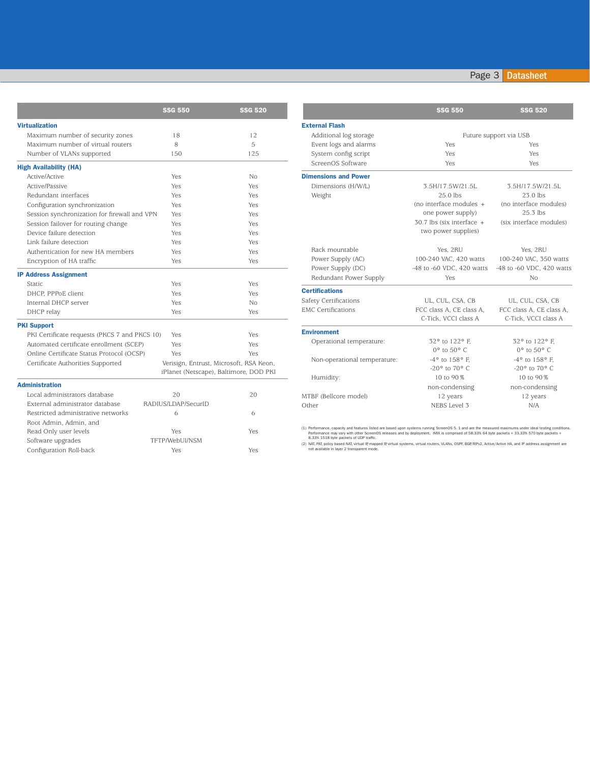#### SSG 550 SSG 520 Virtualization Maximum number of security zones 18 12 Maximum number of virtual routers 8 5 Number of VLANs supported 150 125 High Availability (HA) Active/Active Yes No Active/Passive Yes Yes Redundant interfaces **Yes** Yes Yes Yes Yes Configuration synchronization Yes Yes Session synchronization for firewall and VPN Yes Yes Session failover for routing change Yes Yes Yes Device failure detection Yes Yes Link failure detection Yes Yes Authentication for new HA members Yes Yes Yes Encryption of HA traffic **Yes** Yes Yes Yes IP Address Assignment Static Yes Yes Yes And Yes And Yes And Yes And Yes And Yes And Yes And Yes And Yes And Yes And Yes And Yes And Yes DHCP, PPPoE client Yes Yes Internal DHCP server Yes No DHCP relay Yes Yes PKI Support PKI Certificate requests (PKCS 7 and PKCS 10) Yes Yes Automated certificate enrollment (SCEP) Yes Yes Online Certificate Status Protocol (OCSP) Yes Yes Certificate Authorities Supported Verisign, Entrust, Microsoft, RSA Keon, iPlanet (Netscape), Baltimore, DOD PKI Administration Local administrators database 20 20 External administrator database RADIUS/LDAP/SecurID Restricted administrative networks 6 6 Root Admin, Admin, and Read Only user levels Yes Yes Yes Yes

Software upgrades TFTP/WebUI/NSM

Configuration Roll-back Yes Yes

|                              | <b>SSG 550</b>                                     | <b>SSG 520</b>                                   |  |
|------------------------------|----------------------------------------------------|--------------------------------------------------|--|
| <b>External Flash</b>        |                                                    |                                                  |  |
| Additional log storage       | Future support via USB                             |                                                  |  |
| Event logs and alarms        | Yes                                                | Yes                                              |  |
| System config script         | Yes                                                | <b>Yes</b>                                       |  |
| ScreenOS Software            | Yes                                                | Yes                                              |  |
| <b>Dimensions and Power</b>  |                                                    |                                                  |  |
| Dimensions (H/W/L)           | 3.5H/17.5W/21.5L                                   | 3.5H/17.5W/21.5L                                 |  |
| Weight                       | $25.0$ lbs                                         | $23.0$ lbs                                       |  |
|                              | (no interface modules $+$                          | (no interface modules)                           |  |
|                              | one power supply)                                  | $25.3$ lbs                                       |  |
|                              | $30.7$ lbs (six interface +<br>two power supplies) | (six interface modules)                          |  |
| Rack mountable               | Yes. 2RU                                           | Yes, 2RU                                         |  |
| Power Supply (AC)            | 100-240 VAC, 420 watts                             | 100-240 VAC, 350 watts                           |  |
| Power Supply (DC)            | -48 to -60 VDC, 420 watts                          | -48 to -60 VDC, 420 watts                        |  |
| Redundant Power Supply       | Yes                                                | Nο                                               |  |
| <b>Certifications</b>        |                                                    |                                                  |  |
| Safety Certifications        | UL, CUL, CSA, CB                                   | UL, CUL, CSA, CB                                 |  |
| <b>EMC Certifications</b>    | FCC class A, CE class A,<br>C-Tick, VCCI class A   | FCC class A, CE class A,<br>C-Tick, VCCI class A |  |
| <b>Environment</b>           |                                                    |                                                  |  |
| Operational temperature:     | 32° to 122° F.                                     | 32° to 122° F.                                   |  |
|                              | $0^{\circ}$ to $50^{\circ}$ C                      | $0^{\circ}$ to $50^{\circ}$ C                    |  |
| Non-operational temperature: | $-4^{\circ}$ to $158^{\circ}$ F.                   | -4° to 158° F.                                   |  |
|                              | -20° to 70° C                                      | -20° to 70° C                                    |  |
| Humidity:                    | 10 to 90%                                          | 10 to 90%                                        |  |
|                              | non-condensing                                     | non-condensing                                   |  |
| MTBF (Bellcore model)        | 12 years                                           | 12 years                                         |  |
| Other                        | NEBS Level 3                                       | N/A                                              |  |

(1) Performance, capacity and features listed are based upon systems running ScreenOS 5. 1 and are the measured maximums under ideal testing conditions.<br>Performance may vary with other ScreenOS releases and by deployment.

(2) NAT, PAT, policy based NAT, virtual IP, mapped IP, virtual systems, virtual routers, VLANs, OSPF, BGP, RIPv2, Active/Active HA, and IP address assignment are not available in layer 2 transparent mode.

### Page 3 Datasheet